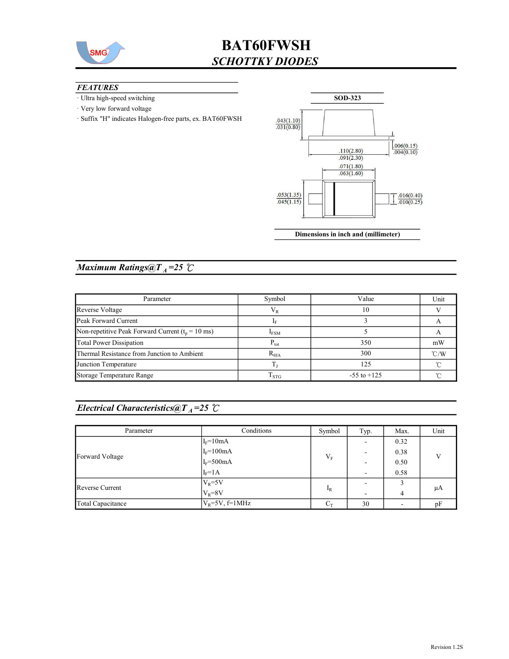

## BAT60FWSH SCHOTTKY DIODES

#### **FEATURES**

- · Ultra high-speed switching
- · Very low forward voltage
- · Suffix "H" indicates Halogen-free parts, ex. BAT60FWSH



Dimensions in inch and (millimeter)

### Maximum Ratings@ $T_A = 25$   $\degree$ C

| Parameter                                            | Symbol             | Value           | Unit          |
|------------------------------------------------------|--------------------|-----------------|---------------|
| Reverse Voltage                                      | $\rm V_R$          | 10              |               |
| Peak Forward Current                                 |                    |                 |               |
| Non-repetitive Peak Forward Current ( $t_p = 10$ ms) | $I_{FSM}$          |                 |               |
| <b>Total Power Dissipation</b>                       | $P_{\text{tot}}$   | 350             | mW            |
| Thermal Resistance from Junction to Ambient          | $R_{\theta JA}$    | 300             | $\degree$ C/W |
| Junction Temperature                                 |                    | 125             | ∽             |
| Storage Temperature Range                            | $\mathrm{T_{STG}}$ | $-55$ to $+125$ |               |

## Electrical Characteristics@T<sub>A</sub>=25 °C

| Parameter         | Conditions              | Symbol | Typ.                     | Max. | Unit         |
|-------------------|-------------------------|--------|--------------------------|------|--------------|
| Forward Voltage   | $I_F = 10mA$            | $V_F$  |                          | 0.32 | $\mathbf{V}$ |
|                   | $\rm I_F\!\!=\!\!100mA$ |        |                          | 0.38 |              |
|                   | $I_F = 500mA$           |        |                          | 0.50 |              |
|                   | $I_F = 1A$              |        | $\overline{\phantom{a}}$ | 0.58 |              |
| Reverse Current   | $V_R = 5V$              | $I_R$  |                          |      |              |
|                   | $V_R = 8V$              |        |                          | 4    | μA           |
| Total Capacitance | $V_{R}$ =5V, f=1MHz     | $C_T$  | 30                       |      | pF           |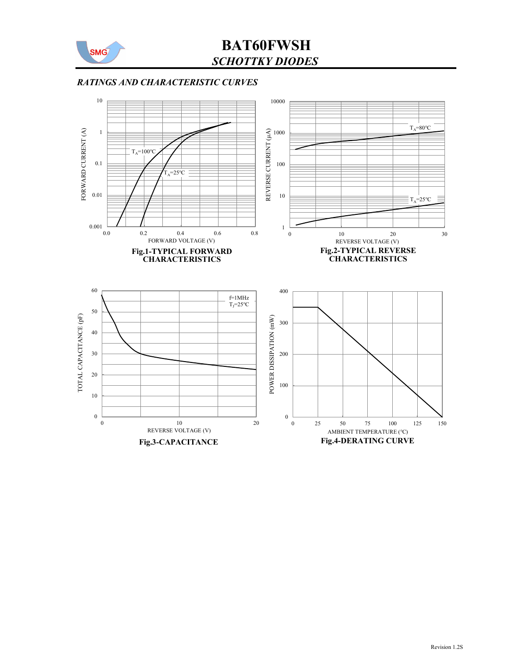

## BAT60FWSH SCHOTTKY DIODES

#### RATINGS AND CHARACTERISTIC CURVES

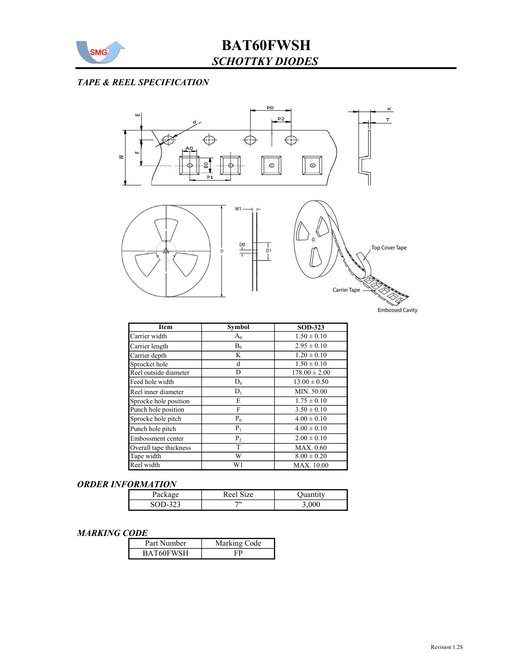

### TAPE & REEL SPECIFICATION



| Item                   | <b>Symbol</b>  | <b>SOD-323</b>    |
|------------------------|----------------|-------------------|
| Carrier width          | $A_0$          | $1.50 \pm 0.10$   |
| Carrier length         | $B_0$          | $2.95 \pm 0.10$   |
| Carrier depth          | K              | $1.20 \pm 0.10$   |
| Sprocket hole          | d              | $1.50 \pm 0.10$   |
| Reel outside diameter  | D              | $178.00 \pm 2.00$ |
| Feed hole width        | $D_0$          | $13.00 \pm 0.50$  |
| Reel inner diameter    | $D_1$          | MIN. 50.00        |
| Sprocke hole position  | E              | $1.75 \pm 0.10$   |
| Punch hole position    | F              | $3.50 \pm 0.10$   |
| Sprocke hole pitch     | $P_0$          | $4.00 \pm 0.10$   |
| Punch hole pitch       | $P_1$          | $4.00 \pm 0.10$   |
| Embossment center      | P <sub>2</sub> | $2.00 \pm 0.10$   |
| Overall tape thickness | T              | MAX. 0.60         |
| Tape width             | W              | $8.00 \pm 0.20$   |
| Reel width             | W1             | MAX. 10.00        |

#### ORDER INFORMATION

| Package       | Size<br>Reel |  |
|---------------|--------------|--|
| -323<br>SOD-1 | 711          |  |

#### MARKING CODE

| Part Number | Marking Code |
|-------------|--------------|
| BAT60FWSH   |              |